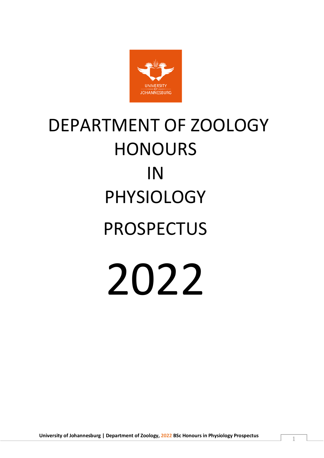

# DEPARTMENT OF ZOOLOGY HONOURS IN PHYSIOLOGY PROSPECTUS 2022

**University of Johannesburg | Department of Zoology, 2022 BSc Honours in Physiology Prospectus** <sup>1</sup>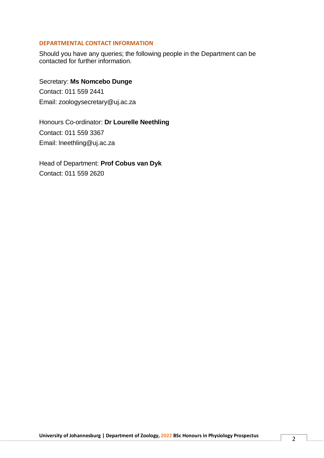# **DEPARTMENTAL CONTACT INFORMATION**

Should you have any queries; the following people in the Department can be contacted for further information.

Secretary: **Ms Nomcebo Dunge** Contact: 011 559 2441 Email: [zoologysecretary@uj.ac.za](mailto:zoologysecretary@uj.ac.za)

Honours Co-ordinator: **Dr Lourelle Neethling** Contact: 011 559 3367 Email: [lneethling@uj.ac.za](mailto:lneethling@uj.ac.za)

Head of Department: **Prof Cobus van Dyk** Contact: 011 559 2620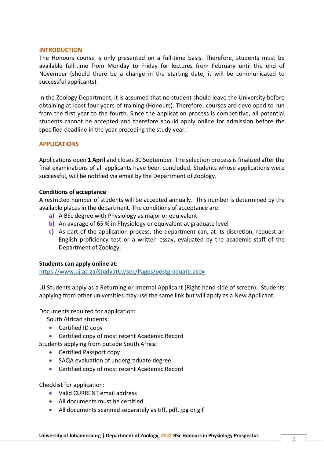#### **INTRODUCTION**

The Honours course is only presented on a full-time basis. Therefore, students must be available full-time from Monday to Friday for lectures from February until the end of November (should there be a change in the starting date, it will be communicated to successful applicants).

In the Zoology Department, it is assumed that no student should leave the University before obtaining at least four years of training (Honours). Therefore, courses are developed to run from the first year to the fourth. Since the application process is competitive, all potential students cannot be accepted and therefore should apply online for admission before the specified deadline in the year preceding the study year.

# **APPLICATIONS**

Applications open **1 April** and closes 30 September. The selection process is finalized after the final examinations of all applicants have been concluded. Students whose applications were successful, will be notified via email by the Department of Zoology.

#### **Conditions of acceptance**

A restricted number of students will be accepted annually. This number is determined by the available places in the department. The conditions of acceptance are:

- **a)** A BSc degree with Physiology as major or equivalent
- **b)** An average of 65 % in Physiology or equivalent at graduate level
- **c)** As part of the application process, the department can, at its discretion, request an English proficiency test or a written essay, evaluated by the academic staff of the Department of Zoology.

# **Students can apply online at:**

<https://www.uj.ac.za/studyatUJ/sec/Pages/postgraduate.aspx>

UJ Students apply as a Returning or Internal Applicant (Right-hand side of screen). Students applying from other universities may use the same link but will apply as a New Applicant.

Documents required for application:

South African students:

- Certified ID copy
- Certified copy of most recent Academic Record

Students applying from outside South Africa:

- Certified Passport copy
- SAQA evaluation of undergraduate degree
- Certified copy of most recent Academic Record

Checklist for application:

- Valid CURRENT email address
- All documents must be certified
- All documents scanned separately as tiff, pdf, jpg or gif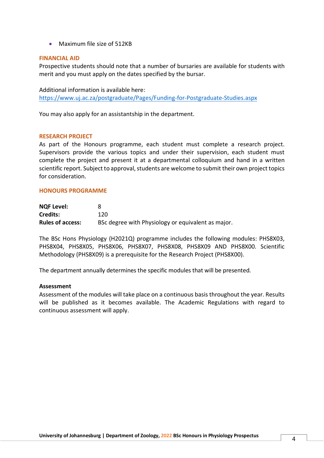• Maximum file size of 512KB

#### **FINANCIAL AID**

Prospective students should note that a number of bursaries are available for students with merit and you must apply on the dates specified by the bursar.

Additional information is available here: <https://www.uj.ac.za/postgraduate/Pages/Funding-for-Postgraduate-Studies.aspx>

You may also apply for an assistantship in the department.

#### **RESEARCH PROJECT**

As part of the Honours programme, each student must complete a research project. Supervisors provide the various topics and under their supervision, each student must complete the project and present it at a departmental colloquium and hand in a written scientific report. Subject to approval, students are welcome to submit their own project topics for consideration.

#### **HONOURS PROGRAMME**

| <b>NQF Level:</b>       |                                                    |
|-------------------------|----------------------------------------------------|
| <b>Credits:</b>         | 120                                                |
| <b>Rules of access:</b> | BSc degree with Physiology or equivalent as major. |

The BSc Hons Physiology (H2021Q) programme includes the following modules: PHS8X03, PHS8X04, PHS8X05, PHS8X06, PHS8X07, PHS8X08, PHS8X09 AND PHS8X00. Scientific Methodology (PHS8X09) is a prerequisite for the Research Project (PHS8X00).

The department annually determines the specific modules that will be presented.

#### **Assessment**

Assessment of the modules will take place on a continuous basis throughout the year. Results will be published as it becomes available. The Academic Regulations with regard to continuous assessment will apply.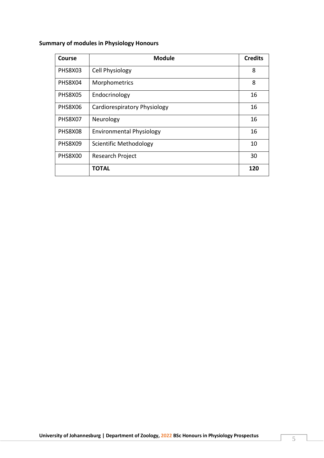# **Summary of modules in Physiology Honours**

| Course         | <b>Module</b>                   | <b>Credits</b> |
|----------------|---------------------------------|----------------|
| <b>PHS8X03</b> | Cell Physiology                 | 8              |
| PHS8X04        | Morphometrics                   | 8              |
| <b>PHS8X05</b> | Endocrinology                   | 16             |
| PHS8X06        | Cardiorespiratory Physiology    | 16             |
| PHS8X07        | Neurology                       | 16             |
| PHS8X08        | <b>Environmental Physiology</b> | 16             |
| PHS8X09        | Scientific Methodology          | 10             |
| PHS8X00        | Research Project                | 30             |
|                | <b>TOTAL</b>                    | 120            |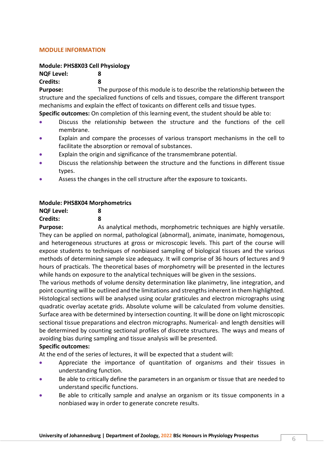# **MODULE INFORMATION**

# **Module: PHS8X03 Cell Physiology**

**NQF Level: 8**

#### **Credits: 8**

**Purpose:** The purpose of this module is to describe the relationship between the structure and the specialized functions of cells and tissues, compare the different transport mechanisms and explain the effect of toxicants on different cells and tissue types.

**Specific outcomes:** On completion of this learning event, the student should be able to:

- Discuss the relationship between the structure and the functions of the cell membrane.
- Explain and compare the processes of various transport mechanisms in the cell to facilitate the absorption or removal of substances.
- Explain the origin and significance of the transmembrane potential.
- Discuss the relationship between the structure and the functions in different tissue types.
- Assess the changes in the cell structure after the exposure to toxicants.

# **Module: PHS8X04 Morphometrics**

| <b>NQF Level:</b> | 8 |
|-------------------|---|
| <b>Credits:</b>   | 8 |

**Purpose:** As analytical methods, morphometric techniques are highly versatile. They can be applied on normal, pathological (abnormal), animate, inanimate, homogenous, and heterogeneous structures at gross or microscopic levels. This part of the course will expose students to techniques of nonbiased sampling of biological tissues and the various methods of determining sample size adequacy. It will comprise of 36 hours of lectures and 9 hours of practicals. The theoretical bases of morphometry will be presented in the lectures while hands on exposure to the analytical techniques will be given in the sessions.

The various methods of volume density determination like planimetry, line integration, and point counting will be outlined and the limitations and strengths inherent in them highlighted. Histological sections will be analysed using ocular graticules and electron micrographs using quadratic overlay acetate grids. Absolute volume will be calculated from volume densities. Surface area with be determined by intersection counting. It will be done on light microscopic sectional tissue preparations and electron micrographs. Numerical- and length densities will be determined by counting sectional profiles of discrete structures. The ways and means of avoiding bias during sampling and tissue analysis will be presented.

# **Specific outcomes:**

At the end of the series of lectures, it will be expected that a student will:

- Appreciate the importance of quantitation of organisms and their tissues in understanding function.
- Be able to critically define the parameters in an organism or tissue that are needed to understand specific functions.
- Be able to critically sample and analyse an organism or its tissue components in a nonbiased way in order to generate concrete results.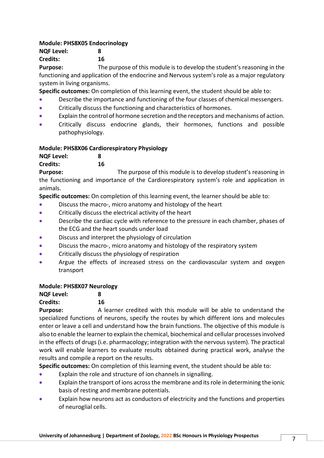# **Module: PHS8X05 Endocrinology**

**NQF Level: 8 Credits: 16**

**Purpose:** The purpose of this module is to develop the student's reasoning in the functioning and application of the endocrine and Nervous system's role as a major regulatory system in living organisms.

**Specific outcomes:** On completion of this learning event, the student should be able to:

- Describe the importance and functioning of the four classes of chemical messengers.
- Critically discuss the functioning and characteristics of hormones.
- Explain the control of hormone secretion and the receptors and mechanisms of action.
- Critically discuss endocrine glands, their hormones, functions and possible pathophysiology.

# **Module: PHS8X06 Cardiorespiratory Physiology**

**NQF Level: 8**

**Credits: 16**

**Purpose:** The purpose of this module is to develop student's reasoning in the functioning and importance of the Cardiorespiratory system's role and application in animals.

**Specific outcomes:** On completion of this learning event, the learner should be able to:

- Discuss the macro-, micro anatomy and histology of the heart
- Critically discuss the electrical activity of the heart
- Describe the cardiac cycle with reference to the pressure in each chamber, phases of the ECG and the heart sounds under load
- Discuss and interpret the physiology of circulation
- Discuss the macro-, micro anatomy and histology of the respiratory system
- Critically discuss the physiology of respiration
- Argue the effects of increased stress on the cardiovascular system and oxygen transport

# **Module: PHS8X07 Neurology**

# **NQF Level: 8**

# **Credits: 16**

**Purpose:** A learner credited with this module will be able to understand the specialized functions of neurons, specify the routes by which different ions and molecules enter or leave a cell and understand how the brain functions. The objective of this module is also to enable the learner to explain the chemical, biochemical and cellular processes involved in the effects of drugs (i.e. pharmacology; integration with the nervous system). The practical work will enable learners to evaluate results obtained during practical work, analyse the results and compile a report on the results.

**Specific outcomes:** On completion of this learning event, the student should be able to:

- Explain the role and structure of ion channels in signalling.
- Explain the transport of ions across the membrane and its role in determining the ionic basis of resting and membrane potentials.
- Explain how neurons act as conductors of electricity and the functions and properties of neuroglial cells.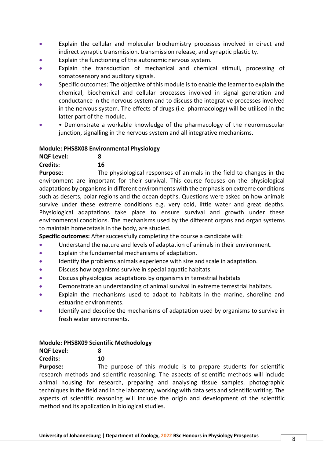- Explain the cellular and molecular biochemistry processes involved in direct and indirect synaptic transmission, transmission release, and synaptic plasticity.
- Explain the functioning of the autonomic nervous system.
- Explain the transduction of mechanical and chemical stimuli, processing of somatosensory and auditory signals.
- Specific outcomes: The objective of this module is to enable the learner to explain the chemical, biochemical and cellular processes involved in signal generation and conductance in the nervous system and to discuss the integrative processes involved in the nervous system. The effects of drugs (i.e. pharmacology) will be utilised in the latter part of the module.
- • Demonstrate a workable knowledge of the pharmacology of the neuromuscular junction, signalling in the nervous system and all integrative mechanisms.

#### **Module: PHS8X08 Environmental Physiology**

| <b>NQF Level:</b> | 8  |
|-------------------|----|
| Credits:          | 16 |

**Purpose**: The physiological responses of animals in the field to changes in the environment are important for their survival. This course focuses on the physiological adaptations by organisms in different environments with the emphasis on extreme conditions such as deserts, polar regions and the ocean depths. Questions were asked on how animals survive under these extreme conditions e.g. very cold, little water and great depths. Physiological adaptations take place to ensure survival and growth under these environmental conditions. The mechanisms used by the different organs and organ systems to maintain homeostasis in the body, are studied.

**Specific outcomes:** After successfully completing the course a candidate will:

- Understand the nature and levels of adaptation of animals in their environment.
- Explain the fundamental mechanisms of adaptation.
- Identify the problems animals experience with size and scale in adaptation.
- Discuss how organisms survive in special aquatic habitats.
- Discuss physiological adaptations by organisms in terrestrial habitats
- Demonstrate an understanding of animal survival in extreme terrestrial habitats.
- Explain the mechanisms used to adapt to habitats in the marine, shoreline and estuarine environments.
- Identify and describe the mechanisms of adaptation used by organisms to survive in fresh water environments.

# **Module: PHS8X09 Scientific Methodology**

| <b>NQF Level:</b> | 8 |
|-------------------|---|
|-------------------|---|

# **Credits: 10**

**Purpose:** The purpose of this module is to prepare students for scientific research methods and scientific reasoning. The aspects of scientific methods will include animal housing for research, preparing and analysing tissue samples, photographic techniques in the field and in the laboratory, working with data sets and scientific writing. The aspects of scientific reasoning will include the origin and development of the scientific method and its application in biological studies.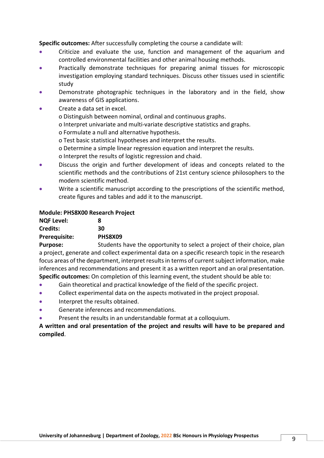**Specific outcomes:** After successfully completing the course a candidate will:

- Criticize and evaluate the use, function and management of the aquarium and controlled environmental facilities and other animal housing methods.
- Practically demonstrate techniques for preparing animal tissues for microscopic investigation employing standard techniques. Discuss other tissues used in scientific study
- Demonstrate photographic techniques in the laboratory and in the field, show awareness of GIS applications.
- Create a data set in excel.
	- o Distinguish between nominal, ordinal and continuous graphs.
	- o Interpret univariate and multi-variate descriptive statistics and graphs.
	- o Formulate a null and alternative hypothesis.
	- o Test basic statistical hypotheses and interpret the results.
	- o Determine a simple linear regression equation and interpret the results.
	- o Interpret the results of logistic regression and chaid.
- Discuss the origin and further development of ideas and concepts related to the scientific methods and the contributions of 21st century science philosophers to the modern scientific method.
- Write a scientific manuscript according to the prescriptions of the scientific method, create figures and tables and add it to the manuscript.

# **Module: PHS8X00 Research Project**

| <b>NQF Level:</b>    | 8       |
|----------------------|---------|
| Credits:             | 30      |
| <b>Prerequisite:</b> | PHS8X09 |
|                      |         |

**Purpose:** Students have the opportunity to select a project of their choice, plan a project, generate and collect experimental data on a specific research topic in the research focus areas of the department, interpret results in terms of current subject information, make inferences and recommendations and present it as a written report and an oral presentation. **Specific outcomes:** On completion of this learning event, the student should be able to:

- Gain theoretical and practical knowledge of the field of the specific project.
- Collect experimental data on the aspects motivated in the project proposal.
- Interpret the results obtained.
- Generate inferences and recommendations.
- Present the results in an understandable format at a colloquium.

# **A written and oral presentation of the project and results will have to be prepared and compiled**.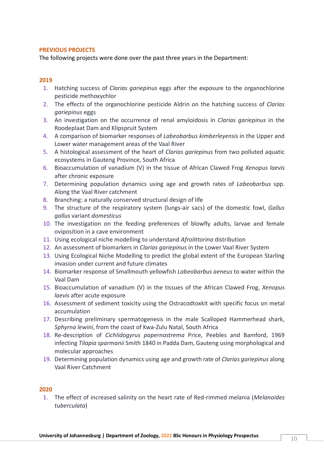# **PREVIOUS PROJECTS**

The following projects were done over the past three years in the Department:

# **2019**

- 1. Hatching success of *Clarias gariepinus* eggs after the exposure to the organochlorine pesticide methoxychlor
- 2. The effects of the organochlorine pesticide Aldrin on the hatching success of *Clarias gariepinus* eggs
- 3. An investigation on the occurrence of renal amyloidosis in *Clarias gariepinus* in the Roodeplaat Dam and Klipspruit System
- 4. A comparison of biomarker responses of *Labeobarbus kimberleyensis* in the Upper and Lower water management areas of the Vaal River
- 5. A histological assessment of the heart of *Clarias gariepinus* from two polluted aquatic ecosystems in Gauteng Province, South Africa
- 6. Bioaccumulation of vanadium (V) in the tissue of African Clawed Frog *Xenopus laevis* after chronic exposure
- 7. Determining population dynamics using age and growth rates of *Labeobarbus* spp. Along the Vaal River catchment
- 8. Branching: a naturally conserved structural design of life
- 9. The structure of the respiratory system (lungs-air sacs) of the domestic fowl, *Gallus gallus* variant *domesticus*
- 10. The investigation on the feeding preferences of blowfly adults, larvae and female oviposition in a cave environment
- 11. Using ecological niche modelling to understand *Afrolittorina* distribution
- 12. An assessment of biomarkers in *Clarias gariepinus* in the Lower Vaal River System
- 13. Using Ecological Niche Modelling to predict the global extent of the European Starling invasion under current and future climates
- 14. Biomarker response of Smallmouth yellowfish *Labeobarbus aeneus* to water within the Vaal Dam
- 15. Bioaccumulation of vanadium (V) in the tissues of the African Clawed Frog, *Xenopus laevis* after acute exposure
- 16. Assessment of sediment toxicity using the Ostracodtoxkit with specific focus on metal accumulation
- 17. Describing preliminary spermatogenesis in the male Scalloped Hammerhead shark, *Sphyrna lewini*, from the coast of Kwa-Zulu Natal, South Africa
- 18. Re-description of *Cichlidogyrus papernastrema* Price, Peebles and Bamford, 1969 infecting *Tilapia sparmanii* Smith 1840 in Padda Dam, Gauteng using morphological and molecular approaches
- 19. Determining population dynamics using age and growth rate of *Clarias gariepinus* along Vaal River Catchment

# **2020**

1. The effect of increased salinity on the heart rate of Red-rimmed melania (*Melanoides tuberculata*)